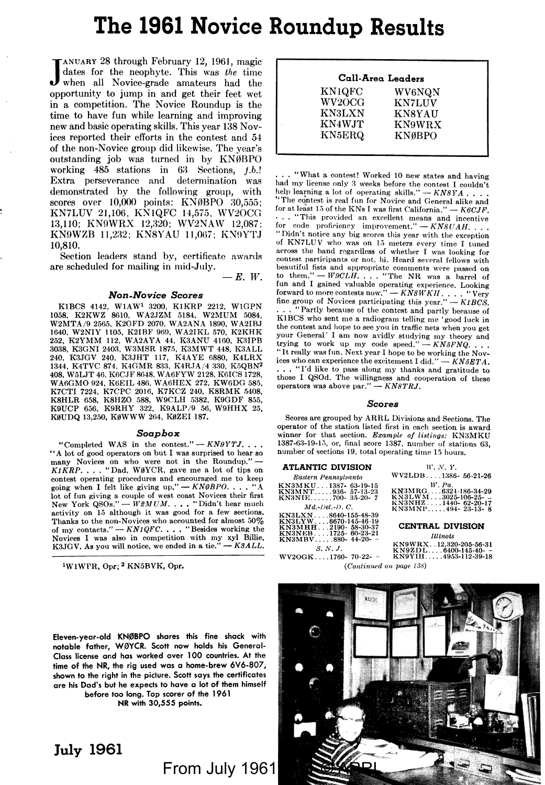# **The 1961 Novice Roundup Results**

JANUARY 28 through February 12, 1961, magic dates for the neophyte. This was *the* time when all Novice-grade amateurs had the opportunity to jump in and get their feet wet in a competition. The Novice Roundup is the time to have fun while learning and improving new and basic operating skills. This year 138 Novices reported their efforts in the contest and 54 of the non-Novice group did likewise. The year's outstanding job was turned in by KNØBPO working  $485$  stations in  $63$  Sections,  $f.b.$ ! Extra perseverance and determination was demonstrated by the following group, with scores over 10,000 points: KNØBPO 30,555; KN7LUV 21,106, KNlQFC 14,575. WV2OCG 13,110; KN9WRX 12,320: WV2NAW 12,087: KN9WZB 11,232; KN8YAU 11,067; KN9YTJ 10,810.

Section leaders stand by, certificate awards are scheduled for mailing in mid-July.

 $-E.$   $W.$ 

#### *Non-Novice Scores*

K1BCS 4142, W1AW<sup>1</sup> 3200, K1KRP 2212, W1GPN 1058, K2KWZ 8610, W A2.JZM 5184, W2MUM 5084, W2MTA/9 2565, K20FD 2070, WA2ANA 1890, WA2IB.J 1640, W2NIY 1105, K2IBF 969, WA2IKL 570, K2KHK<br>252, K2YMM 112, WA2AYA 44, K3ANU 4160, K3IPB<br>3038, K3GNI 2403, W3MSR 1875, K3MWT 448, K3ALL 240, K3.JGV 240, K3.JHT 117, K4A YE 6880, K4LRX 1344, K4TVC 874, K4GMR 833, K4RJA/4 330, K5QBN<sup>2</sup> 408, W5LJT 46, K6C.JF 8648, WA6FYW 2128, KOICS 1728, WA6GMO 924, K6EIL 486, WA6HEX 272, KW6DG 585, K7CTI 7224, K7CPC 2016, K7KCZ 240, K8RMK 5408, K8HLR 658, K8HZO 588, W9CLH 5382, K9GDF 855, K9UCP 656, K9RHY 322, K9ALP /9 56, W9HHX 25, KØUDQ 13,250, KØWWW 264, KØZEI 187.

#### *Soapbox*

"Completed WAS in the contest." - *KN9YTJ.* . . . "A lot of good operators on but I was surprised to hear so many Novices on who were not in the Roundup." --<br>*K1KRP.* . . . "Dad, WØYCR, gave me a lot of tips on contest operating procedures and encouraged me to keep going when I felt like giving up." - *KN0BPO.* . . . "A lot of fun giving a couple of west coast Novices their first<br>New York QSOs." — W2MUM. . . . "Didn't hear much activity on 15 although it was good for a few sections. Thanks to the non-Novices who accounted for almost 50% of my contacts." -- *KN1QFC*.... "Besides working the Novices I was also in competition with my xyl Billie, <br>K3JGV, As you will notice, we ended in a tie." -- *K3ALL*.

1WlWPR, Opr; 2 KN5BVK, Opr.

|               | Call-Area Leaders |
|---------------|-------------------|
| KN1QFC        | WV6NQN            |
| WV2OCG-       | <b>KN7LUV</b>     |
| <b>KN3LXN</b> | <b>KN8YAU</b>     |
| KN4WJT        | <b>KN9WRX</b>     |
| KN5ERQ        | <b>KNØBPO</b>     |

... "What a contest! Worked 10 new states and having had my license only 3 weeks before the contest I couldn't<br>help learning a lot of operating skills." — *KNSYA* . . . . "The contest is real fun for Novice and General alike and<br>for at least 15 of the KNs I was first California." — K6CJF. for at least 15 of the KNs I was first California."  $\cdots$  . . "This provided an excellent means and incentive<br>for code proficiency improvement." — KN8UAH, . . "Didn't notice any big scores this year with the exception of KN7LUV who was on 15 meters every time I tuned across the hand regardless of whether I was looking for contest participants or not, hi. Heard several fellows with beautiful fists and appropriate comments were passed on<br>to them." — *W9CLH*. . . . "The NR was a barrel of fun and I gained valuable operating experience. Looking<br>forward to more contests now." — KNSWKH. . . . . "Very<br>fine group of Novices participating this year." — K1BCS. "Partly because of the contest and partly because of K1BCS who sent me a radiogram telling me 'good luck in the contest and hope to see you in traffic nets when you get your General' I am now avidly studying my theory and<br>trying to work up my code speed." -- *KN5FNQ* . . . It really was fun. Next year I hope to he working the Novices who can experience the excitement I did."  $-KN5ETA$ . ... "I'd like to pass along my thanks and gratitude to those I QSOd. The willingness and cooperation of these operators was above par." - *KN8TRJ*.

#### *Scores*

Scores are grouped by ARRL Divisions and Sections. The operator of the station listed first in each section is award winner for that section. *Example of listings:* KN3MKU<br>1387-63-19-15, or, final score 1387, number of stations 63, number of sections 19, total operating time 15 hours.

#### **ATLANTIC DIVISION**

| Eastern Pennsulvania                        | WV2LDB1386-56-21-26                            |
|---------------------------------------------|------------------------------------------------|
| KN3MKU1387- 63-19-15                        | W. Pa.                                         |
| KN3MNT936- 57-13-23                         | KN3MRG6324-186-34-29                           |
| KN3NIE700-35-20-7                           | KN3LWM3025-106-25--                            |
| $Md - Del - D. C.$                          | $KN3NHZ1440-62-20-17$<br>KN3MNP494-23-13-8     |
| KN3LXN8640-155-48-39                        |                                                |
| KN3LYW6670-145-46-19<br>KN3MHH2190-58-30-37 | <b>CENTRAL DIVISION</b>                        |
| KN3NEB1725- 60-23-21<br>$KN3MBV880-44-20-$  | <b>Illinois</b>                                |
| S. N. J.                                    | KN9WRX12.320-205-56-31<br>$KN9ZDL6400-145-40-$ |
|                                             |                                                |

| 'LANTIC DIVISION                                              | W. N. Y.                                               |
|---------------------------------------------------------------|--------------------------------------------------------|
| Eastern Pennsulvania                                          | WV2LDB1386-56-21-26                                    |
| 3MKU 1387-- 63-19-15<br>MNT936- 57-13-23<br>INIE700- 35-20- 7 | W. Pa.<br>KN3MRG6324-186-34-29<br>$KN3LWM3025-106-25-$ |
| $Md - Del - D. C.$                                            | $KN3NHZ1440-62-20-17$<br>KN3MNP494-23-13-8             |
| 3LXN8640-155-48-39<br>8LYW 6670-145-46-19                     |                                                        |

# **CENTRAL DIVISION**<br>Illinois

S.N.J. KN9WRX .... 880-44-20- - KN9WRX ...2,320-205-56-31<br>S.N.J. S.N.J. - WASHELL ... 6400-145-40-<br>WV2OG K ... 1760- 70-22- - KN9YIH ..... 4953-112-39-18  $(Continued on page 138)$ 

Eleven-year-old **KN0BPO** shares this fine shack with notable father, WØYCR. Scott now holds his General-Class license and has worked over 100 countries. At the time of the **NR,** the rig used was a home-brew 6¥6-807, shown to the right in the piclure. Scott says the certificates are his Dad's but he expects to have a lot of them himself before too long. Top scorer of the 1961

**NR** with 30,555 points,

**July 1961** 

# From July 1961

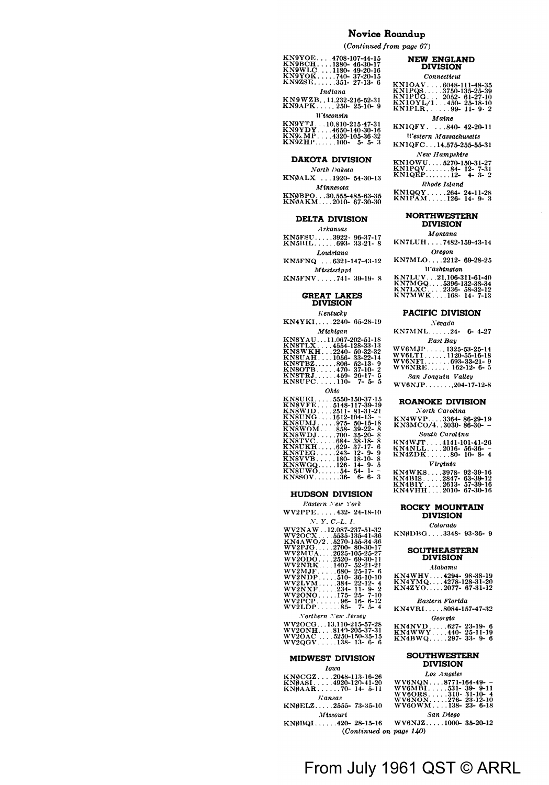### Novice Roundup

 $(Continued from page 67)$ 

| KN9YOE4708-107-44-15 |  |  |  |
|----------------------|--|--|--|
| KN9BCH1380-46-30-17  |  |  |  |
| KN9WLC1180-49-20-16  |  |  |  |
| KN9YOK740-37-20-15   |  |  |  |
| KN9ZSE351-27-13-6    |  |  |  |
| Indiana              |  |  |  |

KN9WZB..11.232-216-52-31<br>KN9APK.....250-25-10-9 **W**isconsin

## **DAKOTA DIVISION**

North Dakota KNØALX ...1920- 54-30-13  $\label{thm:sum} \vspace{-0.1cm} \begin{array}{c} \vspace{-0.1cm} \textbf{M} \textbf{t} \textbf{n} \textbf{n} \textbf{e} \textbf{s} \textbf{o} \textbf{t} \textbf{a} \end{array}$ 

KNØBPO...30,555-485-63-35<br>KNØAKM....2010- 67-30-30

#### DELTA DIVISION

 $Arkans$ 

KN5FSU.....3922-96-37-17<br>KN5BIL......693-33-21-8  $\label{eq:substand} Loutstana$ 

KN5FNQ ...6321-147-43-12 **Mississippi** 

KN5FNV.....741-39-19-8

# GREAT LAKES<br>DIVISION

### $K$ entuck $u$

KN4YKI.....2240-65-28-19 111 I T

| м иншин                |  |  |
|------------------------|--|--|
| KN8YAU11.067-202-51-18 |  |  |
| KN8TLX4554-128-33-13   |  |  |
| KN8WKH2240-50-32-32    |  |  |
| KN8UAH1056-33-22-14    |  |  |
| KN8TBZ806-52-13-9      |  |  |
| $KN80TB470-37-10-2$    |  |  |
| KN8TRJ459-26-17-5      |  |  |
| $KN8UPC110-7-5-5$      |  |  |
| Ohto                   |  |  |

| KN8UEL.           | .5550-150-37-15                      |          |                          |
|-------------------|--------------------------------------|----------|--------------------------|
| <b>KNSVFE.</b>    | . 5148-117-39-19                     |          |                          |
| <b>KN8WID</b>     | $.2511 - 81 - 31 - 21$               |          |                          |
| KN8UNG            | $.1612 - 104 - 13 - -$               |          |                          |
| KN8UMJ            | $975 - 50 - 15 - 18$                 |          |                          |
| <b>KN8WOM</b>     | . 858- 39-22- 8                      |          |                          |
| KN8WDJ.           | $\ldots$ 700 $\cdot$ 35-20 $\cdot$ 8 |          |                          |
| KN8TVC.           | $. . 684 - 38 - 18 - 8$              |          |                          |
| KN8UKH 629-37-17- |                                      |          | В                        |
| KN8TEG 243-       |                                      | $12 - 9$ | 9                        |
| KN8VVB.           | $\ldots$ 180-                        | 18-10-   | я                        |
| KN8WGO126-14-9-   |                                      |          | 5                        |
| KN8UWO54-54-1-    |                                      |          | $\overline{\phantom{a}}$ |
| KN8SOV36- 6-6-3   |                                      |          |                          |
|                   |                                      |          |                          |

#### **HUDSON DIVISION**

#### Eastern New York WV2PPE.....432-24-18-10

 $N, Y, C, L, I$ 

| WV2NAW  12.087-237-51-32 |
|--------------------------|
| WV2OCX 5535-135-41-36    |
| KN4AWO/2 5270-155-34-36  |
|                          |
| WV2MUA2625-105-25-27     |
| WV2ODO2520--69-30-11     |
| WV2NRK1407-52-21-21      |
| WV2MJF 680-25-17-6       |
| WV2NDP510-36-10-10       |
| WV2LVM 384- 22-12- 4     |
| WV2NXF234-11-9-2         |
| $WV2ONO$ 175-25-7-10     |
| WV2PCP 96-16-6-12        |
| $WV2LDP85 - 7 - 5 - 4$   |
|                          |
| Northern New Jersey      |
| WV2OCG13.110-215-57-28   |
| WW00NU 9140.905.27.21    |

WV2ONH....8147-200-57-51<br>WV2OAC ....5250-150-35-15<br>WV2OGV.....138-13-6-6

## **MIDWEST DIVISION**

### **Iowa** KNØCGZ....2048-113-16-26<br>KNØASI.....4920-120-41-20<br>KNØAAR......70- 14- 5-11  $Kansas$ KNØELZ....2555-73-35-10  $M$ issouri  $KN\emptyset BQ1$ .....420-28-15-16  $(Continued\ on\ page\ 140)$

# **NEW ENGLAND<br>DIVISION**

#### Connecticut

Maine<br>KN1QFY.....840-42-20-11 Western Massachusetts

KN1QFC...14,575-255-55-31 New Hampshire

Rhode Island

KN1QQY.....264-24-11-28<br>KN1PAM.....126-14-9-3

#### **NORTHWESTERN DIVISION** Montana

KN7LUH....7482-159-43-14

Oregon KN7MLO....2212-69-28-25 **Washington** 

### PACIFIC DIVISION

 $Nevada$  $KN7MNL......24-6-4-27$ East Bay

Clase Duy<br>WV6MJP ......1120-55-16-18<br>WV6NFI ......1120-55-16-18<br>WV6NRE ....... 162-12- 6- 5<br>WV6NRE ...... 162-12- 6- 5

San Joaquin Valley WV6NJP.......,204-17-12-8

#### **ROANOKE DIVISION** North Carolina

KN4WVP....3364-86-29-19<br>KN3MCO/4..3030-86-30--South Carolina

KN4WJT...4141-101-41-26<br>KN4NLL....2016-56-36--<br>KN4ZDK......80-10-8-4

### $V$ lr $g$ inia

| KN4WKS  . 3978- 92-39-16 |  |  |  |  |
|--------------------------|--|--|--|--|
| KN4BIS 2847-- 63-39-12   |  |  |  |  |
| KN4BIY2613-57-39-16      |  |  |  |  |
| KN4VHH2010- 67-30-16     |  |  |  |  |

# ROCKY MOUNTAIN

KNØDBG....3348-93-36-9

# SOUTHEASTERN<br>DIVISION

KN4WHV.....4294--98-38-19<br>KN4YMQ.....4278-128-31-20<br>KN4ZYO.....2077--67-31-12

#### Eastern Florida

 $KN4VRI...$ ...8084-157-47-32 Georgia

#### **SOUTHWESTERN DIVISION**

#### Los Angeles

| wv6NQN8771-164-49- - |           |  |  |
|----------------------|-----------|--|--|
| WV6MBI531-39-9-11    |           |  |  |
| WV6ORS310-31-10-4    |           |  |  |
| WV6NON276- 23-12-10  |           |  |  |
| WV6OWM138-23-6-18    |           |  |  |
|                      | San Diego |  |  |

WV6NJZ....1000-35-20-12

# From July 1961 QST © ARRL

 $\it Colorado$ 

##